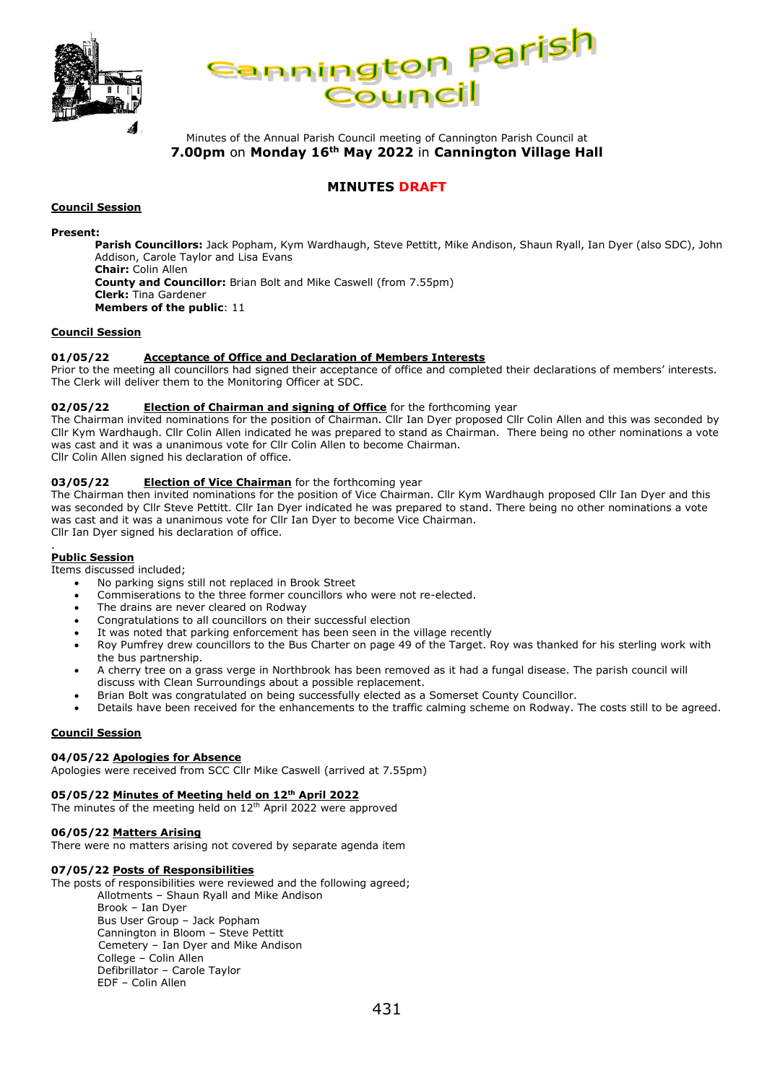



Minutes of the Annual Parish Council meeting of Cannington Parish Council at **7.00pm** on **Monday 16th May 2022** in **Cannington Village Hall**

# **MINUTES DRAFT**

#### **Council Session**

#### **Present:**

**Parish Councillors:** Jack Popham, Kym Wardhaugh, Steve Pettitt, Mike Andison, Shaun Ryall, Ian Dyer (also SDC), John Addison, Carole Taylor and Lisa Evans **Chair:** Colin Allen **County and Councillor:** Brian Bolt and Mike Caswell (from 7.55pm) **Clerk:** Tina Gardener **Members of the public**: 11

#### **Council Session**

#### **01/05/22 Acceptance of Office and Declaration of Members Interests**

Prior to the meeting all councillors had signed their acceptance of office and completed their declarations of members' interests. The Clerk will deliver them to the Monitoring Officer at SDC.

#### **02/05/22 Election of Chairman and signing of Office** for the forthcoming year

The Chairman invited nominations for the position of Chairman. Cllr Ian Dyer proposed Cllr Colin Allen and this was seconded by Cllr Kym Wardhaugh. Cllr Colin Allen indicated he was prepared to stand as Chairman. There being no other nominations a vote was cast and it was a unanimous vote for Cllr Colin Allen to become Chairman.

Cllr Colin Allen signed his declaration of office.

#### **03/05/22 Election of Vice Chairman** for the forthcoming year

The Chairman then invited nominations for the position of Vice Chairman. Cllr Kym Wardhaugh proposed Cllr Ian Dyer and this was seconded by Cllr Steve Pettitt. Cllr Ian Dyer indicated he was prepared to stand. There being no other nominations a vote was cast and it was a unanimous vote for Cllr Ian Dyer to become Vice Chairman. Cllr Ian Dyer signed his declaration of office.

#### . **Public Session**

Items discussed included;

- No parking signs still not replaced in Brook Street
- Commiserations to the three former councillors who were not re-elected.
- The drains are never cleared on Rodway
- Congratulations to all councillors on their successful election
- It was noted that parking enforcement has been seen in the village recently
- Roy Pumfrey drew councillors to the Bus Charter on page 49 of the Target. Roy was thanked for his sterling work with the bus partnership.
- A cherry tree on a grass verge in Northbrook has been removed as it had a fungal disease. The parish council will discuss with Clean Surroundings about a possible replacement.
- Brian Bolt was congratulated on being successfully elected as a Somerset County Councillor.
- Details have been received for the enhancements to the traffic calming scheme on Rodway. The costs still to be agreed.

#### **Council Session**

#### **04/05/22 Apologies for Absence**

Apologies were received from SCC Cllr Mike Caswell (arrived at 7.55pm)

#### **05/05/22 Minutes of Meeting held on 12th April 2022**

The minutes of the meeting held on 12<sup>th</sup> April 2022 were approved

#### **06/05/22 Matters Arising**

There were no matters arising not covered by separate agenda item

#### **07/05/22 Posts of Responsibilities**

The posts of responsibilities were reviewed and the following agreed;

Allotments – Shaun Ryall and Mike Andison Brook – Ian Dyer

Bus User Group – Jack Popham Cannington in Bloom – Steve Pettitt Cemetery – Ian Dyer and Mike Andison College – Colin Allen Defibrillator – Carole Taylor EDF – Colin Allen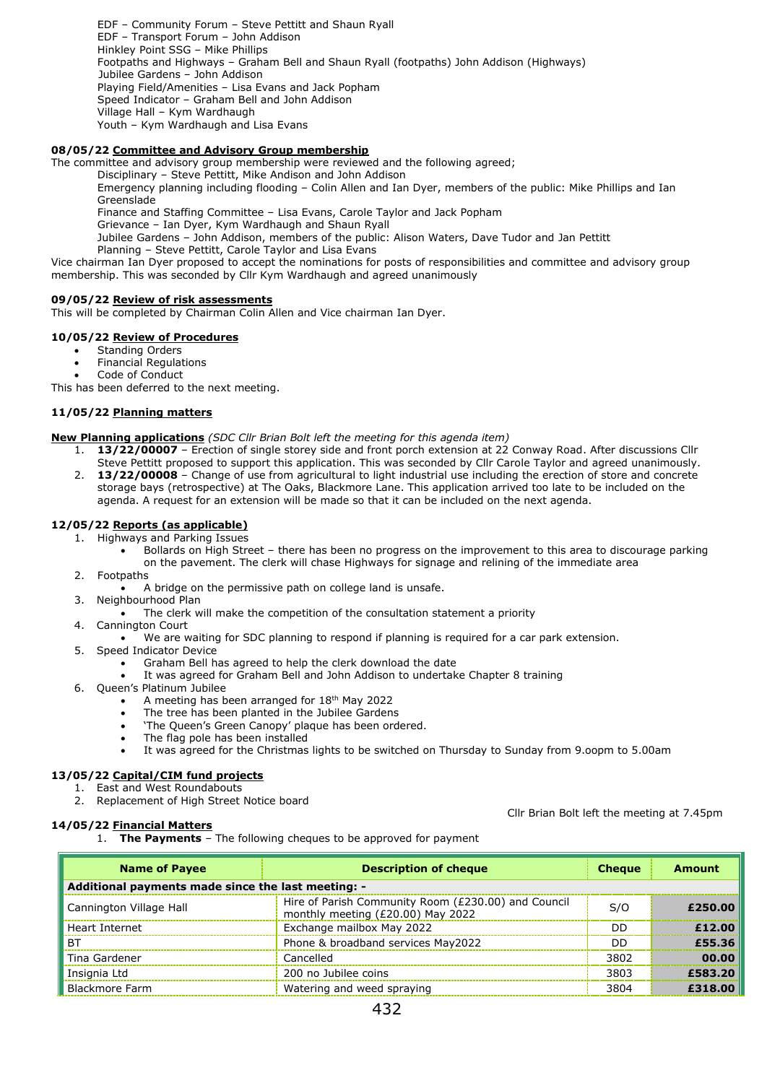EDF – Community Forum – Steve Pettitt and Shaun Ryall EDF – Transport Forum – John Addison Hinkley Point SSG – Mike Phillips Footpaths and Highways – Graham Bell and Shaun Ryall (footpaths) John Addison (Highways) Jubilee Gardens *–* John Addison Playing Field/Amenities – Lisa Evans and Jack Popham Speed Indicator – Graham Bell and John Addison Village Hall – Kym Wardhaugh Youth – Kym Wardhaugh and Lisa Evans

# **08/05/22 Committee and Advisory Group membership**

The committee and advisory group membership were reviewed and the following agreed;

Disciplinary – Steve Pettitt, Mike Andison and John Addison

Emergency planning including flooding – Colin Allen and Ian Dyer, members of the public: Mike Phillips and Ian Greenslade

Finance and Staffing Committee – Lisa Evans, Carole Taylor and Jack Popham

Grievance – Ian Dyer, Kym Wardhaugh and Shaun Ryall

Jubilee Gardens – John Addison, members of the public: Alison Waters, Dave Tudor and Jan Pettitt

Planning – Steve Pettitt, Carole Taylor and Lisa Evans

Vice chairman Ian Dyer proposed to accept the nominations for posts of responsibilities and committee and advisory group membership. This was seconded by Cllr Kym Wardhaugh and agreed unanimously

#### **09/05/22 Review of risk assessments**

This will be completed by Chairman Colin Allen and Vice chairman Ian Dyer.

## **10/05/22 Review of Procedures**

- Standing Orders
- Financial Regulations
- Code of Conduct

This has been deferred to the next meeting.

## **11/05/22 Planning matters**

**New Planning applications** *(SDC Cllr Brian Bolt left the meeting for this agenda item)*

- 1. **13/22/00007** Erection of single storey side and front porch extension at 22 Conway Road. After discussions Cllr
- Steve Pettitt proposed to support this application. This was seconded by Cllr Carole Taylor and agreed unanimously. 2. **13/22/00008** – Change of use from agricultural to light industrial use including the erection of store and concrete storage bays (retrospective) at The Oaks, Blackmore Lane. This application arrived too late to be included on the agenda. A request for an extension will be made so that it can be included on the next agenda.

#### **12/05/22 Reports (as applicable)**

- 1. Highways and Parking Issues
	- Bollards on High Street there has been no progress on the improvement to this area to discourage parking on the pavement. The clerk will chase Highways for signage and relining of the immediate area
- 2. Footpaths
	- A bridge on the permissive path on college land is unsafe.
- 3. Neighbourhood Plan
	- The clerk will make the competition of the consultation statement a priority
- 4. Cannington Court
	- We are waiting for SDC planning to respond if planning is required for a car park extension.
- 5. Speed Indicator Device
	- Graham Bell has agreed to help the clerk download the date
	- It was agreed for Graham Bell and John Addison to undertake Chapter 8 training
- 6. Queen's Platinum Jubilee
	- A meeting has been arranged for 18th May 2022
	- The tree has been planted in the Jubilee Gardens
	- 'The Queen's Green Canopy' plaque has been ordered.
	- The flag pole has been installed
	- It was agreed for the Christmas lights to be switched on Thursday to Sunday from 9.oopm to 5.00am

# **13/05/22 Capital/CIM fund projects**

- 1. East and West Roundabouts
- 2. Replacement of High Street Notice board

#### **14/05/22 Financial Matters**

Cllr Brian Bolt left the meeting at 7.45pm

1. **The Payments** – The following cheques to be approved for payment

| <b>Name of Payee</b>                               | <b>Description of cheque</b>                                                             | <b>Cheque</b> | Amount  |  |  |
|----------------------------------------------------|------------------------------------------------------------------------------------------|---------------|---------|--|--|
| Additional payments made since the last meeting: - |                                                                                          |               |         |  |  |
| Cannington Village Hall                            | Hire of Parish Community Room (£230.00) and Council<br>monthly meeting (£20.00) May 2022 | S/O           | £250.00 |  |  |
| Heart Internet                                     | Exchange mailbox May 2022                                                                | חח            | £12.00  |  |  |
| <b>BT</b>                                          | Phone & broadband services May2022                                                       | חח            | £55.36  |  |  |
| Tina Gardener                                      | Cancelled                                                                                | 3802          | 00.00   |  |  |
| Insignia Ltd                                       | 200 no Jubilee coins                                                                     | 3803          | £583.20 |  |  |
| <b>Blackmore Farm</b>                              | Watering and weed spraying                                                               | 3804          | £318.00 |  |  |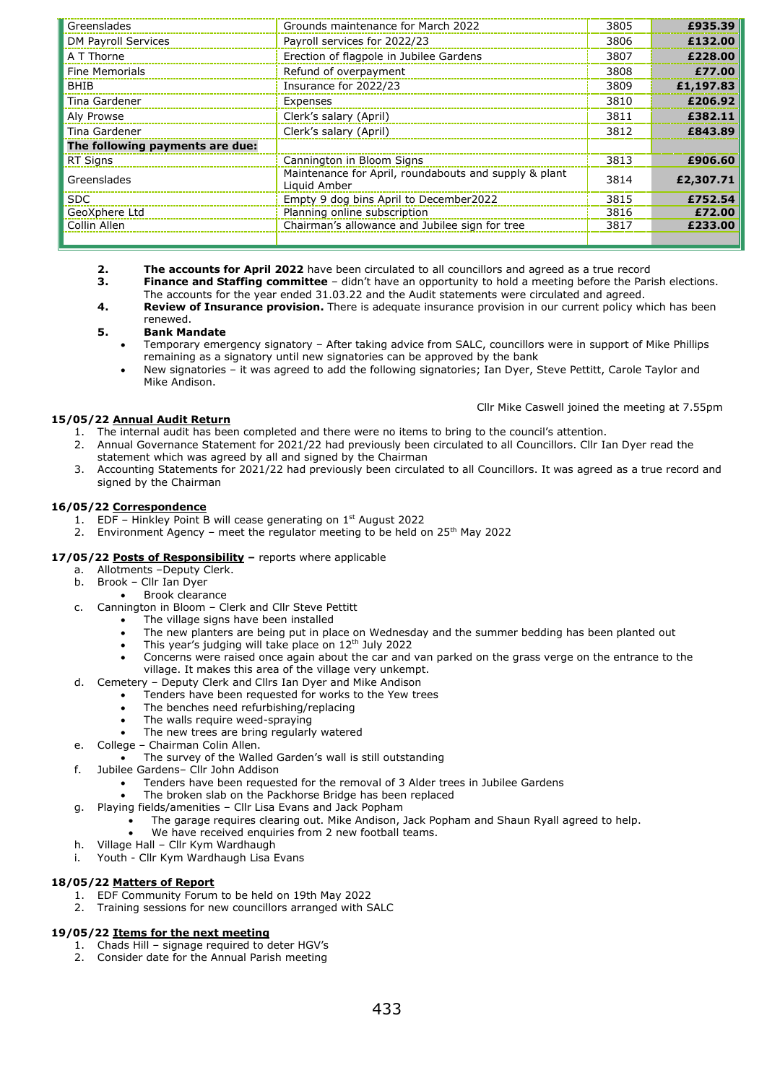| Greenslades                     | Grounds maintenance for March 2022                                    | 3805 | £935.39   |
|---------------------------------|-----------------------------------------------------------------------|------|-----------|
| DM Payroll Services             | Payroll services for 2022/23                                          | 3806 | £132.00   |
| A T Thorne                      | Erection of flagpole in Jubilee Gardens                               | 3807 | £228.00   |
| <b>Fine Memorials</b>           | Refund of overpayment                                                 | 3808 | £77.00    |
| <b>BHIB</b>                     | Insurance for 2022/23                                                 | 3809 | £1,197.83 |
| Tina Gardener                   | Expenses                                                              | 3810 | £206.92   |
| Aly Prowse                      | Clerk's salary (April)                                                | 3811 | £382.11   |
| Tina Gardener                   | Clerk's salary (April)                                                | 3812 | £843.89   |
| The following payments are due: |                                                                       |      |           |
| <b>RT Signs</b>                 | Cannington in Bloom Signs                                             | 3813 | £906.60   |
| Greenslades                     | Maintenance for April, roundabouts and supply & plant<br>Liquid Amber | 3814 | £2,307.71 |
| SDC.                            | Empty 9 dog bins April to December2022                                | 3815 | £752.54   |
| GeoXphere Ltd                   | Planning online subscription                                          | 3816 | £72.00    |
| Collin Allen                    | Chairman's allowance and Jubilee sign for tree                        | 3817 | £233.00   |
|                                 |                                                                       |      |           |

- **2. The accounts for April 2022** have been circulated to all councillors and agreed as a true record **3. Finance and Staffing committee** didn't have an opportunity to hold a meeting before the Pari
- **3. Finance and Staffing committee** didn't have an opportunity to hold a meeting before the Parish elections.
- The accounts for the year ended 31.03.22 and the Audit statements were circulated and agreed.
- **4. Review of Insurance provision.** There is adequate insurance provision in our current policy which has been renewed.

# **5. Bank Mandate**

- Temporary emergency signatory After taking advice from SALC, councillors were in support of Mike Phillips remaining as a signatory until new signatories can be approved by the bank
- New signatories it was agreed to add the following signatories; Ian Dyer, Steve Pettitt, Carole Taylor and Mike Andison.

Cllr Mike Caswell joined the meeting at 7.55pm

# **15/05/22 Annual Audit Return**

- 1. The internal audit has been completed and there were no items to bring to the council's attention.
- 2. Annual Governance Statement for 2021/22 had previously been circulated to all Councillors. Cllr Ian Dyer read the statement which was agreed by all and signed by the Chairman
- 3. Accounting Statements for 2021/22 had previously been circulated to all Councillors. It was agreed as a true record and signed by the Chairman

# **16/05/22 Correspondence**

- 1. EDF Hinkley Point B will cease generating on  $1<sup>st</sup>$  August 2022
- 2. Environment Agency meet the regulator meeting to be held on  $25<sup>th</sup>$  May 2022

# **17/05/22 Posts of Responsibility –** reports where applicable

- a. Allotments –Deputy Clerk.
- b. Brook Cllr Ian Dyer
	- Brook clearance
- c. Cannington in Bloom Clerk and Cllr Steve Pettitt
	- The village signs have been installed
	- The new planters are being put in place on Wednesday and the summer bedding has been planted out
	- This year's judging will take place on 12<sup>th</sup> July 2022
	- Concerns were raised once again about the car and van parked on the grass verge on the entrance to the village. It makes this area of the village very unkempt.
- d. Cemetery Deputy Clerk and Cllrs Ian Dyer and Mike Andison
	- Tenders have been requested for works to the Yew trees
	- The benches need refurbishing/replacing
	- The walls require weed-spraying
		- The new trees are bring regularly watered
- e. College Chairman Colin Allen.
	- The survey of the Walled Garden's wall is still outstanding
- f. Jubilee Gardens– Cllr John Addison
	- Tenders have been requested for the removal of 3 Alder trees in Jubilee Gardens
	- The broken slab on the Packhorse Bridge has been replaced
- g. Playing fields/amenities Cllr Lisa Evans and Jack Popham
	- The garage requires clearing out. Mike Andison, Jack Popham and Shaun Ryall agreed to help.
	- We have received enquiries from 2 new football teams.
- h. Village Hall Cllr Kym Wardhaugh
- i. Youth Cllr Kym Wardhaugh Lisa Evans

## **18/05/22 Matters of Report**

- 1. EDF Community Forum to be held on 19th May 2022
- 2. Training sessions for new councillors arranged with SALC

## **19/05/22 Items for the next meeting**

- 1. Chads Hill signage required to deter HGV's
- 2. Consider date for the Annual Parish meeting